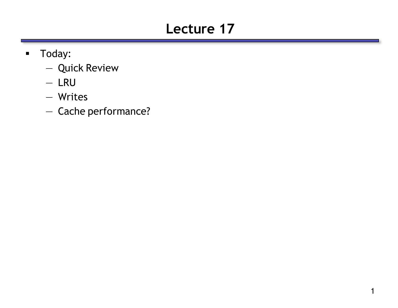# **Lecture 17**

- **Today:** 
	- Quick Review
	- LRU
	- Writes
	- Cache performance?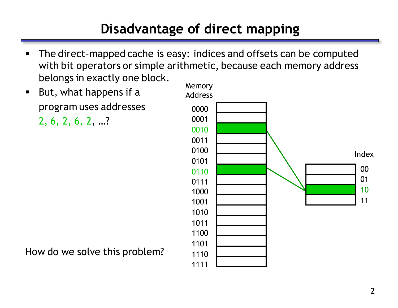# **Disadvantage of direct mapping**

- The direct-mapped cache is easy: indices and offsets can be computed with bit operators or simple arithmetic, because each memory address belongs in exactly one block.
- **But, what happens if a** program uses addresses

2, 6, 2, 6, 2, …?



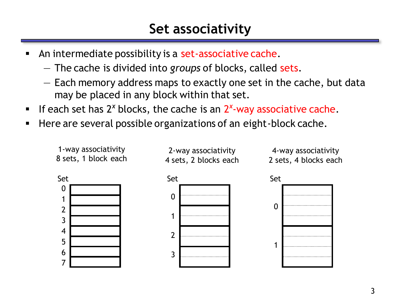- An intermediate possibility is a set-associative cache.
	- The cache is divided into *groups* of blocks, called sets.
	- Each memory address maps to exactly one set in the cache, but data may be placed in any block within that set.
- **If each set has 2<sup>x</sup> blocks, the cache is an 2<sup>x</sup>-way associative cache.**
- **Here are several possible organizations of an eight-block cache.**

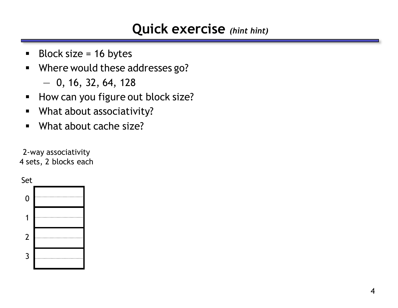#### **Quick exercise** *(hint hint)*

- Block size =  $16$  bytes
- Where would these addresses go?
	- $-$  0, 16, 32, 64, 128
- How can you figure out block size?
- **What about associativity?**
- **What about cache size?**

2-way associativity 4 sets, 2 blocks each

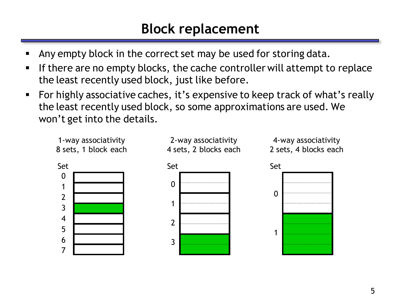## **Block replacement**

- Any empty block in the correct set may be used for storing data.
- If there are no empty blocks, the cache controller will attempt to replace the least recently used block, just like before.
- For highly associative caches, it's expensive to keep track of what's really the least recently used block, so some approximations are used. We won't get into the details.

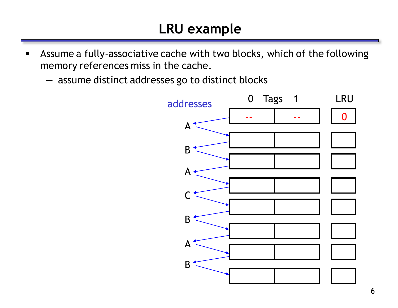- Assume a fully-associative cache with two blocks, which of the following memory references miss in the cache.
	- assume distinct addresses go to distinct blocks

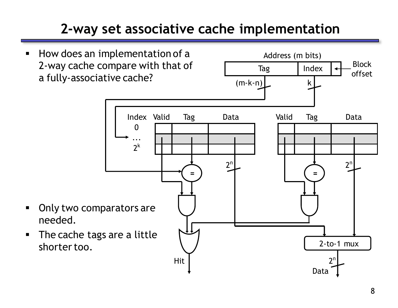# **2-way set associative cache implementation**

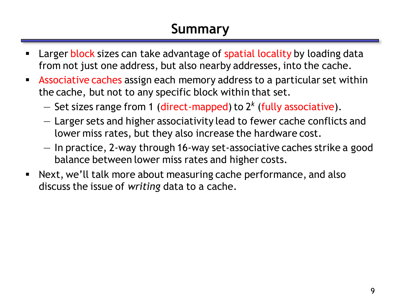# **Summary**

- Larger block sizes can take advantage of spatial locality by loading data from not just one address, but also nearby addresses, into the cache.
- **Associative caches assign each memory address to a particular set within** the cache, but not to any specific block within that set.
	- Set sizes range from 1 (direct-mapped) to 2*<sup>k</sup>* (fully associative).
	- Larger sets and higher associativity lead to fewer cache conflicts and lower miss rates, but they also increase the hardware cost.
	- In practice, 2-way through 16-way set-associative caches strike a good balance between lower miss rates and higher costs.
- Next, we'll talk more about measuring cache performance, and also discuss the issue of *writing* data to a cache.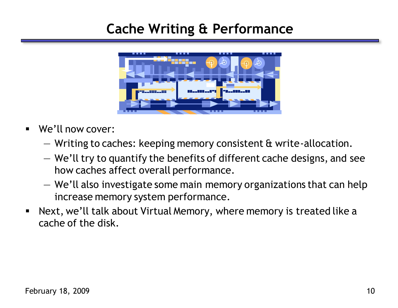### **Cache Writing & Performance**



- We'll now cover:
	- Writing to caches: keeping memory consistent & write-allocation.
	- We'll try to quantify the benefits of different cache designs, and see how caches affect overall performance.
	- We'll also investigate some main memory organizations that can help increase memory system performance.
- Next, we'll talk about Virtual Memory, where memory is treated like a cache of the disk.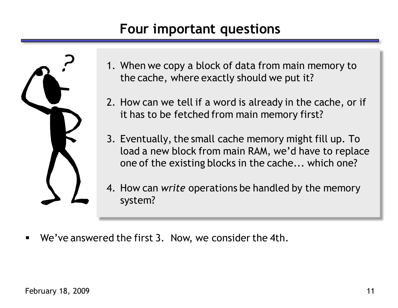## **Four important questions**



- 1. When we copy a block of data from main memory to the cache, where exactly should we put it?
- 2. How can we tell if a word is already in the cache, or if it has to be fetched from main memory first?
- 3. Eventually, the small cache memory might fill up. To load a new block from main RAM, we'd have to replace one of the existing blocks in the cache... which one?
- 4. How can *write* operations be handled by the memory system?
- We've answered the first 3. Now, we consider the 4th.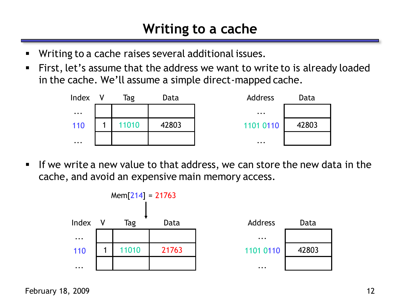- Writing to a cache raises several additional issues.
- First, let's assume that the address we want to write to is already loaded in the cache. We'll assume a simple direct-mapped cache.



If we write a new value to that address, we can store the new data in the cache, and avoid an expensive main memory access.

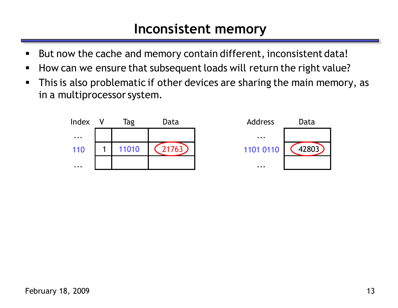#### **Inconsistent memory**

- But now the cache and memory contain different, inconsistent data!
- How can we ensure that subsequent loads will return the right value?
- This is also problematic if other devices are sharing the main memory, as in a multiprocessor system.

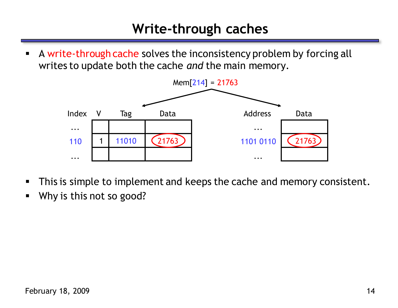### **Write-through caches**

A write-through cache solves the inconsistency problem by forcing all writes to update both the cache *and* the main memory.



- **This is simple to implement and keeps the cache and memory consistent.**
- Why is this not so good?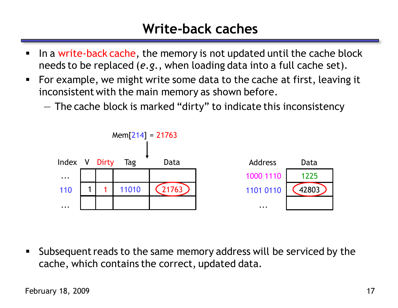## **Write-back caches**

- In a write-back cache, the memory is not updated until the cache block needs to be replaced (*e.g.*, when loading data into a full cache set).
- For example, we might write some data to the cache at first, leaving it inconsistent with the main memory as shown before.
	- The cache block is marked "dirty" to indicate this inconsistency



 Subsequent reads to the same memory address will be serviced by the cache, which contains the correct, updated data.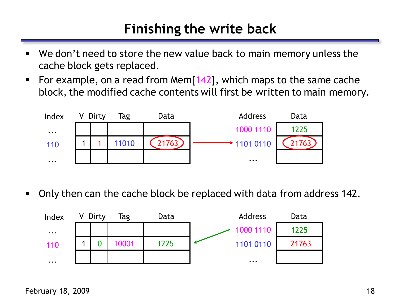## **Finishing the write back**

- We don't need to store the new value back to main memory unless the cache block gets replaced.
- For example, on a read from Mem $[142]$ , which maps to the same cache block, the modified cache contents will first be written to main memory.



Only then can the cache block be replaced with data from address 142.

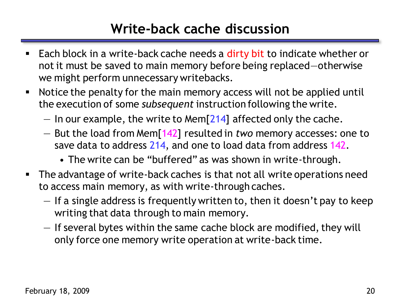## **Write-back cache discussion**

- Each block in a write-back cache needs a dirty bit to indicate whether or not it must be saved to main memory before being replaced—otherwise we might perform unnecessary writebacks.
- Notice the penalty for the main memory access will not be applied until the execution of some *subsequent* instruction following the write.
	- $-$  In our example, the write to Mem[214] affected only the cache.
	- But the load from Mem[142] resulted in *two* memory accesses: one to save data to address 214, and one to load data from address 142.
		- The write can be "buffered" as was shown in write-through.
- **The advantage of write-back caches is that not all write operations need** to access main memory, as with write-through caches.
	- If a single address is frequently written to, then it doesn't pay to keep writing that data through to main memory.
	- If several bytes within the same cache block are modified, they will only force one memory write operation at write-back time.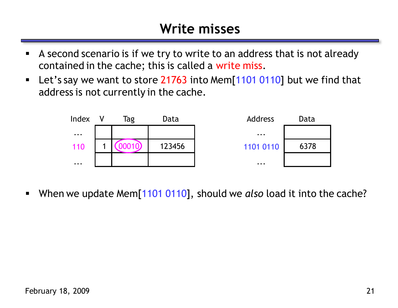### **Write misses**

- A second scenario is if we try to write to an address that is not already contained in the cache; this is called a write miss.
- **Let's say we want to store 21763 into Mem[1101 0110] but we find that** address is not currently in the cache.



When we update Mem[1101 0110], should we *also* load it into the cache?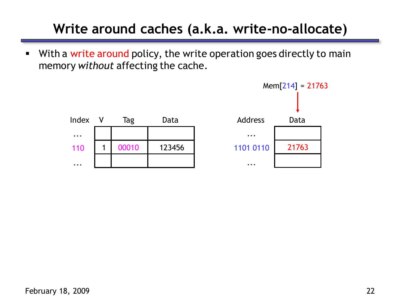# **Write around caches (a.k.a. write-no-allocate)**

• With a write around policy, the write operation goes directly to main memory *without* affecting the cache.

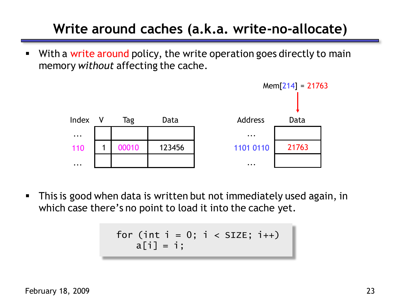# **Write around caches (a.k.a. write-no-allocate)**

 With a write around policy, the write operation goes directly to main memory *without* affecting the cache.



 This is good when data is written but not immediately used again, in which case there's no point to load it into the cache yet.

$$
\begin{array}{rcl}\nfor (int i = 0; i < SIZE; i++) \\
a[i] = i;\n\end{array}
$$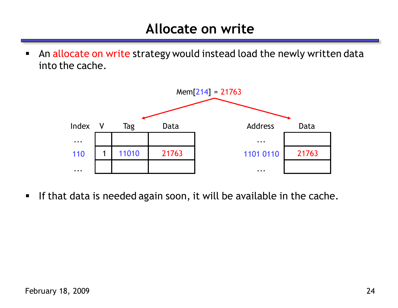An allocate on write strategy would instead load the newly written data into the cache.



If that data is needed again soon, it will be available in the cache.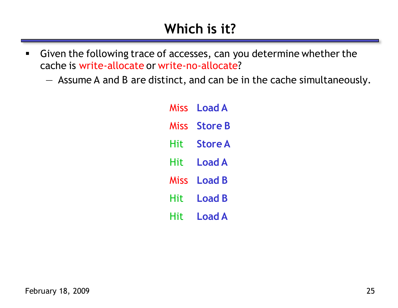- Given the following trace of accesses, can you determine whether the cache is write-allocate or write-no-allocate?
	- Assume A and B are distinct, and can be in the cache simultaneously.

| Miss | <b>Load A</b>  |
|------|----------------|
| Miss | <b>Store B</b> |
| Hit  | <b>Store A</b> |
| Hit  | <b>Load A</b>  |
| Miss | <b>Load B</b>  |
| Hit  | <b>Load B</b>  |
| Hit  | <b>Load A</b>  |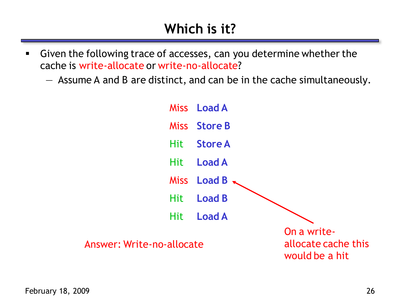- Given the following trace of accesses, can you determine whether the cache is write-allocate or write-no-allocate?
	- Assume A and B are distinct, and can be in the cache simultaneously.

|                           | Miss Load A       |                                                      |
|---------------------------|-------------------|------------------------------------------------------|
|                           | Miss Store B      |                                                      |
|                           | Hit Store A       |                                                      |
|                           | Hit <b>Load A</b> |                                                      |
|                           | Miss Load B       |                                                      |
|                           | Hit <b>Load B</b> |                                                      |
|                           | Hit <b>Load A</b> |                                                      |
| Answer: Write-no-allocate |                   | On a write-<br>allocate cache this<br>would be a hit |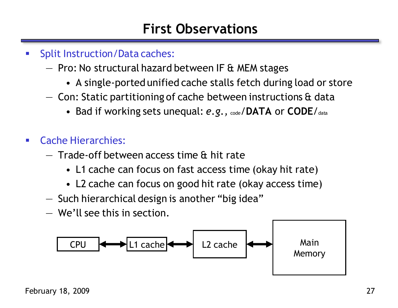### **First Observations**

- **Split Instruction/Data caches:** 
	- Pro: No structural hazard between IF & MEM stages
		- A single-ported unified cache stalls fetch during load or store
	- $-$  Con: Static partitioning of cache between instructions  $\alpha$  data
		- Bad if working sets unequal:  $e.g.,$   $\alpha_{\text{ode}}$  **/DATA** or **CODE**/ $\alpha_{\text{data}}$
- Cache Hierarchies:
	- Trade-off between access time & hit rate
		- L1 cache can focus on fast access time (okay hit rate)
		- L2 cache can focus on good hit rate (okay access time)
	- Such hierarchical design is another "big idea"
	- We'll see this in section.

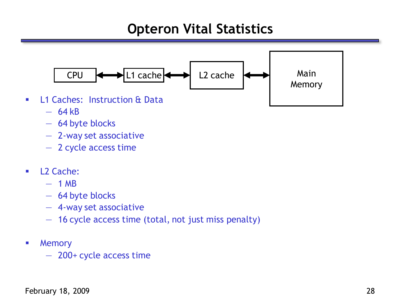### **Opteron Vital Statistics**



- $-64kB$
- 64 byte blocks
- 2-way set associative
- 2 cycle access time
- **L2 Cache:** 
	- $-1$  MB
	- 64 byte blocks
	- 4-way set associative
	- 16 cycle access time (total, not just miss penalty)
- **-** Memory
	- 200+ cycle access time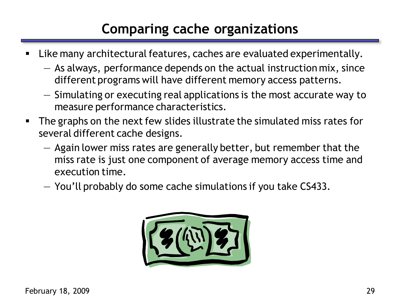# **Comparing cache organizations**

- Like many architectural features, caches are evaluated experimentally.
	- As always, performance depends on the actual instruction mix, since different programs will have different memory access patterns.
	- Simulating or executing real applications is the most accurate way to measure performance characteristics.
- The graphs on the next few slides illustrate the simulated miss rates for several different cache designs.
	- Again lower miss rates are generally better, but remember that the miss rate is just one component of average memory access time and execution time.
	- You'll probably do some cache simulations if you take CS433.

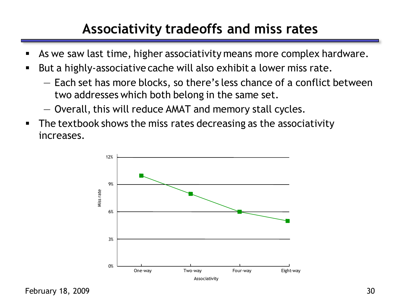## **Associativity tradeoffs and miss rates**

- As we saw last time, higher associativity means more complex hardware.
- But a highly-associative cache will also exhibit a lower miss rate.
	- Each set has more blocks, so there's less chance of a conflict between two addresses which both belong in the same set.
	- Overall, this will reduce AMAT and memory stall cycles.
- **The textbook shows the miss rates decreasing as the associativity** increases.

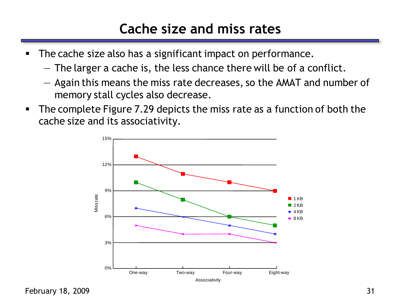### **Cache size and miss rates**

- **The cache size also has a significant impact on performance.** 
	- The larger a cache is, the less chance there will be of a conflict.
	- Again this means the miss rate decreases, so the AMAT and number of memory stall cycles also decrease.
- The complete Figure 7.29 depicts the miss rate as a function of both the cache size and its associativity.



February 18, 2009 31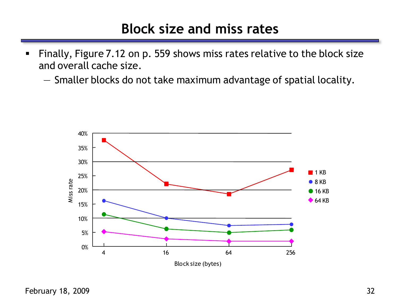#### **Block size and miss rates**

- Finally, Figure 7.12 on p. 559 shows miss rates relative to the block size and overall cache size.
	- Smaller blocks do not take maximum advantage of spatial locality.

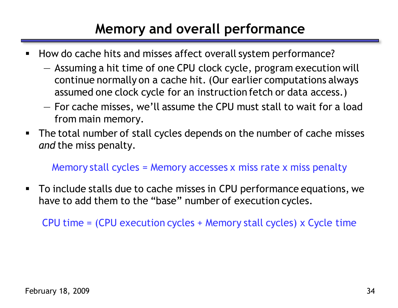## **Memory and overall performance**

- How do cache hits and misses affect overall system performance?
	- Assuming a hit time of one CPU clock cycle, program execution will continue normally on a cache hit. (Our earlier computations always assumed one clock cycle for an instruction fetch or data access.)
	- For cache misses, we'll assume the CPU must stall to wait for a load from main memory.
- The total number of stall cycles depends on the number of cache misses *and* the miss penalty.

#### Memory stall cycles = Memory accesses x miss rate x miss penalty

 To include stalls due to cache misses in CPU performance equations, we have to add them to the "base" number of execution cycles.

CPU time = (CPU execution cycles + Memory stall cycles) x Cycle time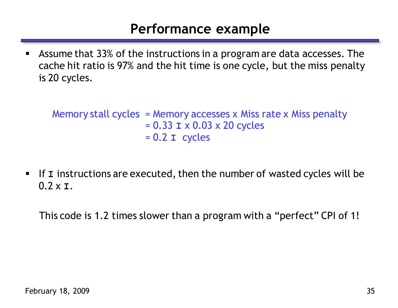#### **Performance example**

 Assume that 33% of the instructions in a program are data accesses. The cache hit ratio is 97% and the hit time is one cycle, but the miss penalty is 20 cycles.

Memory stall cycles = Memory accesses x Miss rate x Miss penalty = 0.33 **I** x 0.03 x 20 cycles = 0.2 **I** cycles

 If **I** instructions are executed, then the number of wasted cycles will be 0.2 x **I**.

This code is 1.2 times slower than a program with a "perfect" CPI of 1!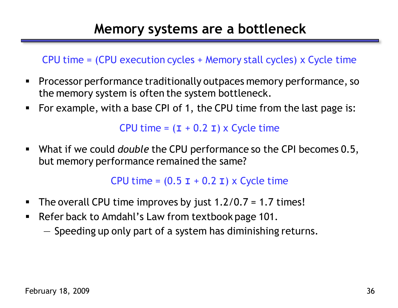#### CPU time = (CPU execution cycles + Memory stall cycles) x Cycle time

- Processor performance traditionally outpaces memory performance, so the memory system is often the system bottleneck.
- For example, with a base CPI of 1, the CPU time from the last page is:

CPU time =  $(I + 0.2 I) \times$  Cycle time

 What if we could *double* the CPU performance so the CPI becomes 0.5, but memory performance remained the same?

CPU time =  $(0.5 I + 0.2 I) \times$  Cycle time

- The overall CPU time improves by just  $1.2/0.7 = 1.7$  times!
- **Refer back to Amdahl's Law from textbook page 101.** 
	- Speeding up only part of a system has diminishing returns.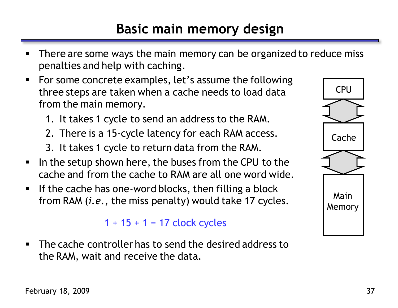- There are some ways the main memory can be organized to reduce miss penalties and help with caching.
- For some concrete examples, let's assume the following three steps are taken when a cache needs to load data from the main memory.
	- 1. It takes 1 cycle to send an address to the RAM.
	- 2. There is a 15-cycle latency for each RAM access.
	- 3. It takes 1 cycle to return data from the RAM.
- I In the setup shown here, the buses from the CPU to the cache and from the cache to RAM are all one word wide.
- **If the cache has one-word blocks, then filling a block** from RAM (*i.e.*, the miss penalty) would take 17 cycles.

#### $1 + 15 + 1 = 17$  clock cycles

 The cache controller has to send the desired address to the RAM, wait and receive the data.

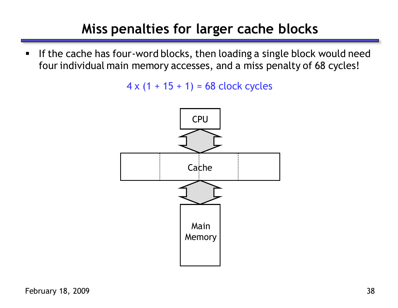## **Miss penalties for larger cache blocks**

If the cache has four-word blocks, then loading a single block would need four individual main memory accesses, and a miss penalty of 68 cycles!

 $4 \times (1 + 15 + 1) = 68$  clock cycles

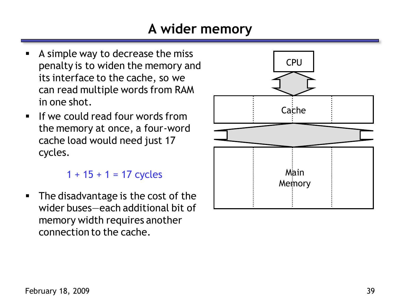## **A wider memory**

- A simple way to decrease the miss penalty is to widen the memory and its interface to the cache, so we can read multiple words from RAM in one shot.
- $\blacksquare$  If we could read four words from the memory at once, a four-word cache load would need just 17 cycles.

 $1 + 15 + 1 = 17$  cycles

• The disadvantage is the cost of the wider buses—each additional bit of memory width requires another connection to the cache.

![](_page_33_Figure_5.jpeg)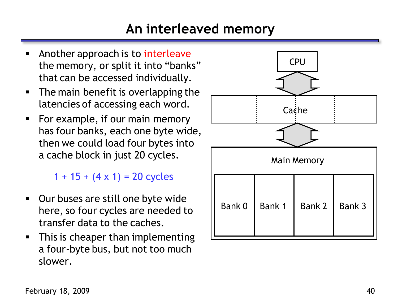## **An interleaved memory**

- Another approach is to interleave the memory, or split it into "banks" that can be accessed individually.
- **The main benefit is overlapping the** latencies of accessing each word.
- For example, if our main memory has four banks, each one byte wide, then we could load four bytes into a cache block in just 20 cycles.

 $1 + 15 + (4 \times 1) = 20$  cycles

- **Dur buses are still one byte wide** here, so four cycles are needed to transfer data to the caches.
- **This is cheaper than implementing** a four-byte bus, but not too much slower.

![](_page_34_Figure_7.jpeg)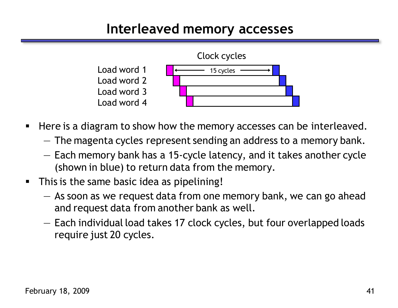### **Interleaved memory accesses**

![](_page_35_Figure_1.jpeg)

- Here is a diagram to show how the memory accesses can be interleaved.
	- The magenta cycles represent sending an address to a memory bank.
	- Each memory bank has a 15-cycle latency, and it takes another cycle (shown in blue) to return data from the memory.
- **This is the same basic idea as pipelining!** 
	- As soon as we request data from one memory bank, we can go ahead and request data from another bank as well.
	- Each individual load takes 17 clock cycles, but four overlapped loads require just 20 cycles.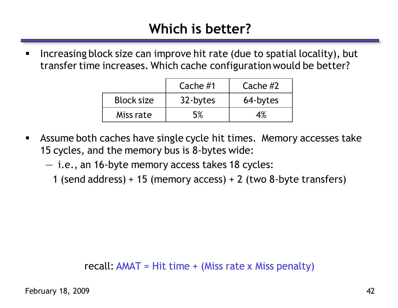**Increasing block size can improve hit rate (due to spatial locality), but** transfer time increases. Which cache configuration would be better?

|                   | Cache $#1$ | Cache $#2$ |
|-------------------|------------|------------|
| <b>Block size</b> | 32-bytes   | 64-bytes   |
| Miss rate         | 5%         | 4%         |

- Assume both caches have single cycle hit times. Memory accesses take 15 cycles, and the memory bus is 8-bytes wide:
	- i.e., an 16-byte memory access takes 18 cycles:
		- 1 (send address) + 15 (memory access) + 2 (two 8-byte transfers)

#### recall:  $AMAT = Hit time + (Miss rate × Miss penalty)$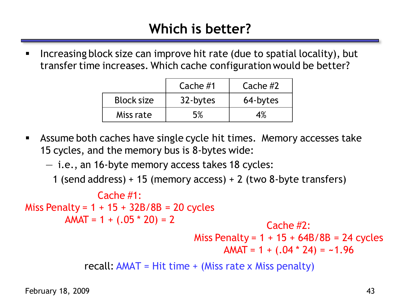Increasing block size can improve hit rate (due to spatial locality), but transfer time increases. Which cache configuration would be better?

|                   | Cache $#1$ | Cache $#2$ |
|-------------------|------------|------------|
| <b>Block size</b> | 32-bytes   | 64-bytes   |
| Miss rate         | 5%         | 4%         |

 Assume both caches have single cycle hit times. Memory accesses take 15 cycles, and the memory bus is 8-bytes wide:

— i.e., an 16-byte memory access takes 18 cycles:

1 (send address) + 15 (memory access) + 2 (two 8-byte transfers)

recall:  $AMAT = Hit time + (Miss rate x Miss penalty)$ Cache #1: Miss Penalty =  $1 + 15 + 32B/8B = 20$  cycles  $AMAT = 1 + (.05 * 20) = 2$  Cache #2: Miss Penalty =  $1 + 15 + 64B/8B = 24$  cycles AMAT = 1 + (.04 \* 24) = **~**1.96